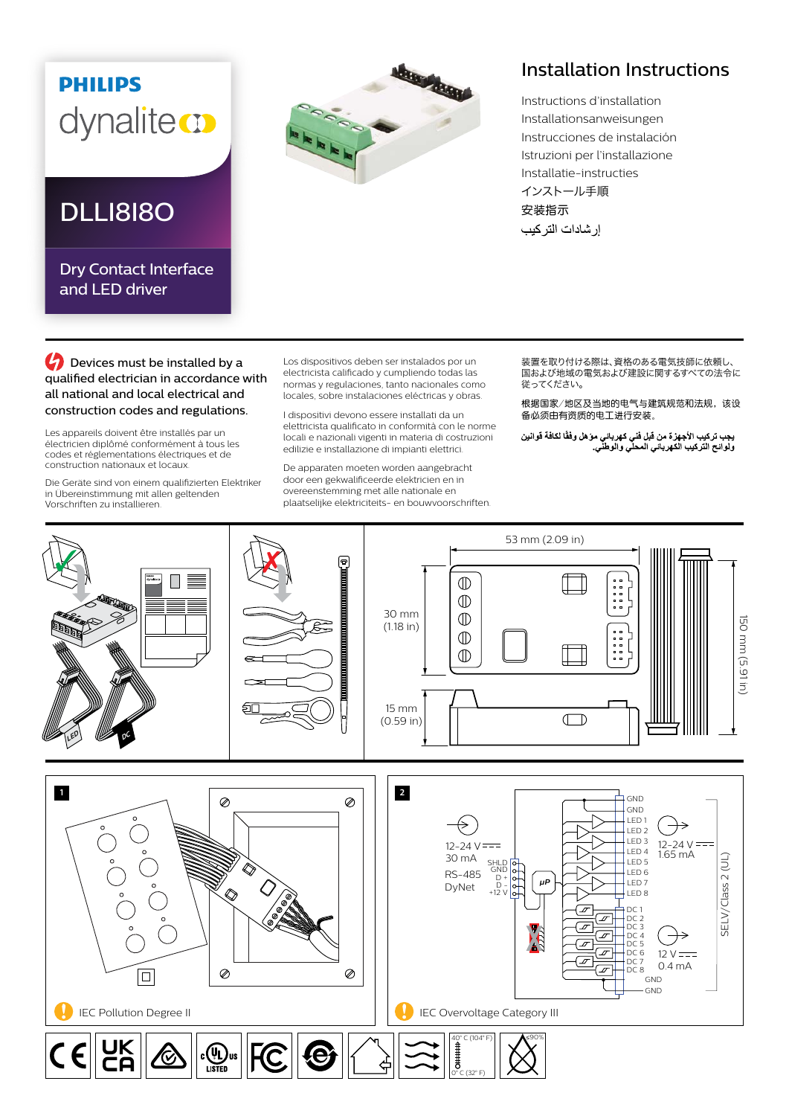## **PHILIPS** dynaliteco

## DLLI8I8O

Dry Contact Interface and **LED** driver



## Installation Instructions

Instructions d'installation Installationsanweisungen Instrucciones de instalación Istruzioni per l'installazione Installatie-instructies インストール手順 安装指示 إر شادات التر كيب

**C** Devices must be installed by a qualified electrician in accordance with all national and local electrical and construction codes and regulations.

Les appareils doivent être installés par un électricien diplômé conformément à tous les codes et réglementations électriques et de construction nationaux et locaux.

Die Geräte sind von einem qualifizierten Elektriker in Übereinstimmung mit allen geltenden Vorschriften zu installieren.

Los dispositivos deben ser instalados por un electricista calificado y cumpliendo todas las normas y regulaciones, tanto nacionales como locales, sobre instalaciones eléctricas y obras.

I dispositivi devono essere installati da un elettricista qualificato in conformità con le norme locali e nazionali vigenti in materia di costruzioni edilizie e installazione di impianti elettrici.

De apparaten moeten worden aangebracht door een gekwalificeerde elektricien en in overeenstemming met alle nationale en plaatselijke elektriciteits- en bouwvoorschriften. 装置を取り付ける際は、資格のある電気技師に依頼し、 ーーーーーーの あいい ストック・コントントーム しくく こうしゃ 従ってください。

根据国家/地区及当地的电气与建筑规范和法规,该设 备必须由有资质的电工进行安装。

يجب تركيب الأجهزة من قبل فني كهرباني موّ هل وفقًا لكافة قوانين<br>ولوائح التركيب الكهرباني المحلي والوطني<sub>.</sub>